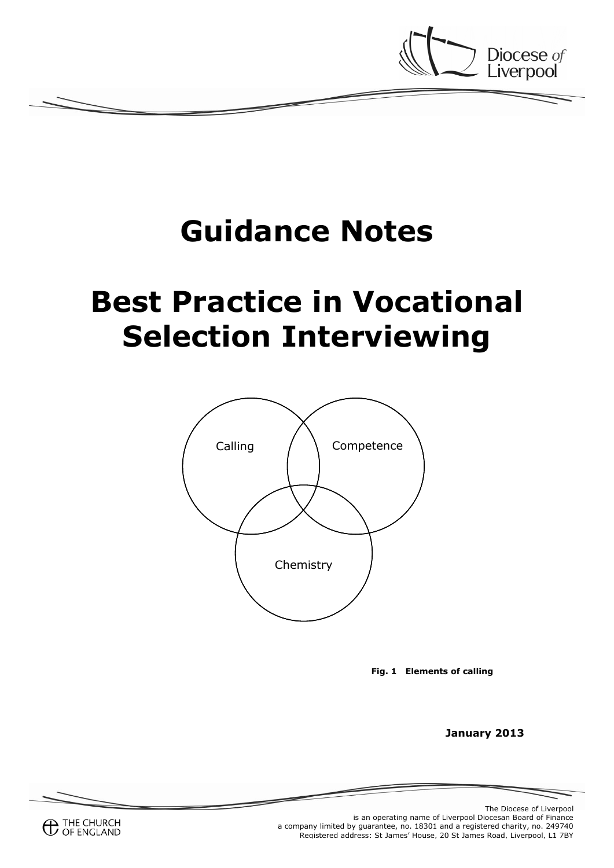

# **Guidance Notes**

# **Best Practice in Vocational Selection Interviewing**



**Fig. 1 Elements of calling**

**January 2013**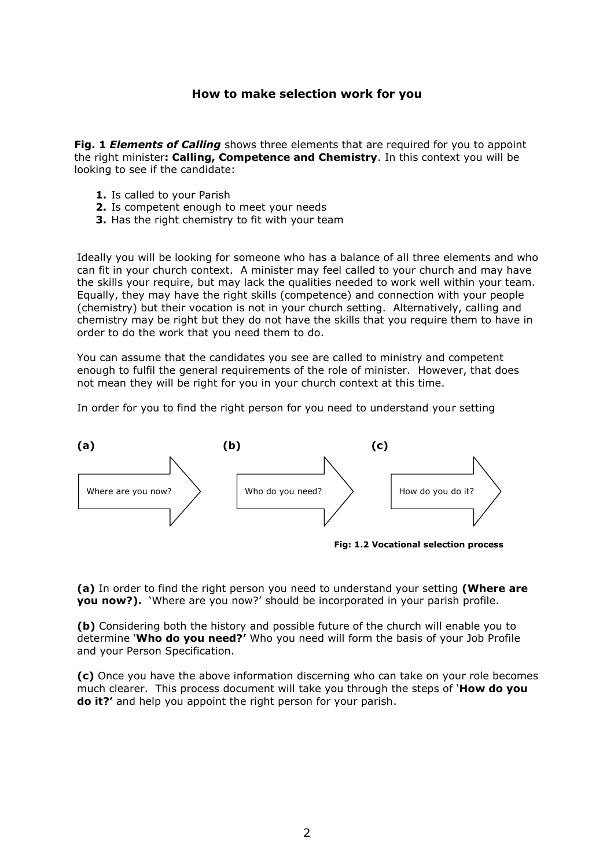#### **How to make selection work for you**

**Fig. 1** *Elements of Calling* shows three elements that are required for you to appoint the right minister**: Calling, Competence and Chemistry**. In this context you will be looking to see if the candidate:

- **1.** Is called to your Parish
- **2.** Is competent enough to meet your needs
- **3.** Has the right chemistry to fit with your team

Ideally you will be looking for someone who has a balance of all three elements and who can fit in your church context. A minister may feel called to your church and may have the skills your require, but may lack the qualities needed to work well within your team. Equally, they may have the right skills (competence) and connection with your people (chemistry) but their vocation is not in your church setting. Alternatively, calling and chemistry may be right but they do not have the skills that you require them to have in order to do the work that you need them to do.

You can assume that the candidates you see are called to ministry and competent enough to fulfil the general requirements of the role of minister. However, that does not mean they will be right for you in your church context at this time.

In order for you to find the right person for you need to understand your setting



**(a)** In order to find the right person you need to understand your setting **(Where are you now?).** 'Where are you now?' should be incorporated in your parish profile.

**(b)** Considering both the history and possible future of the church will enable you to determine '**Who do you need?'** Who you need will form the basis of your Job Profile and your Person Specification.

**(c)** Once you have the above information discerning who can take on your role becomes much clearer. This process document will take you through the steps of '**How do you do it?'** and help you appoint the right person for your parish.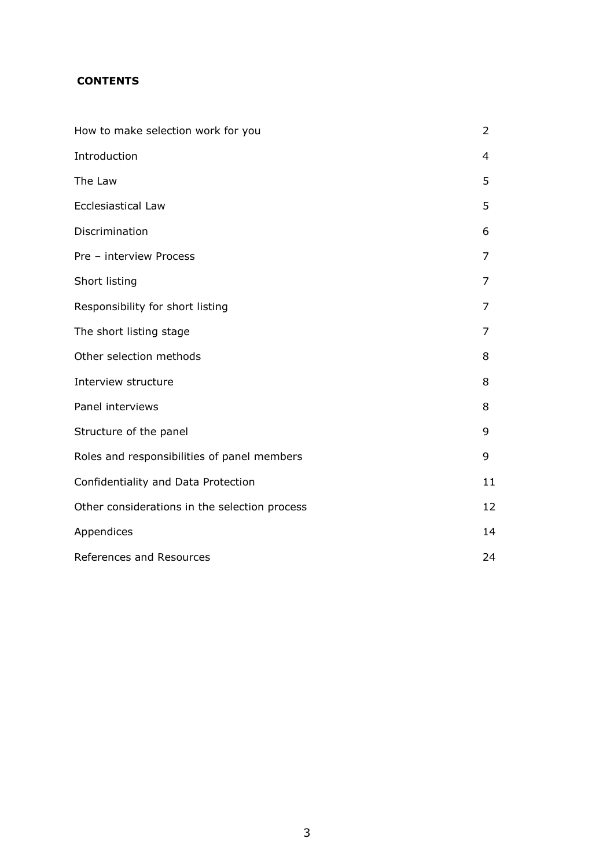# **CONTENTS**

| How to make selection work for you            | 2  |
|-----------------------------------------------|----|
| Introduction                                  | 4  |
| The Law                                       | 5  |
| Ecclesiastical Law                            | 5  |
| Discrimination                                | 6  |
| Pre - interview Process                       | 7  |
| Short listing                                 | 7  |
| Responsibility for short listing              | 7  |
| The short listing stage                       | 7  |
| Other selection methods                       | 8  |
| Interview structure                           | 8  |
| Panel interviews                              | 8  |
| Structure of the panel                        | 9  |
| Roles and responsibilities of panel members   | 9  |
| Confidentiality and Data Protection           | 11 |
| Other considerations in the selection process | 12 |
| Appendices                                    | 14 |
| References and Resources                      | 24 |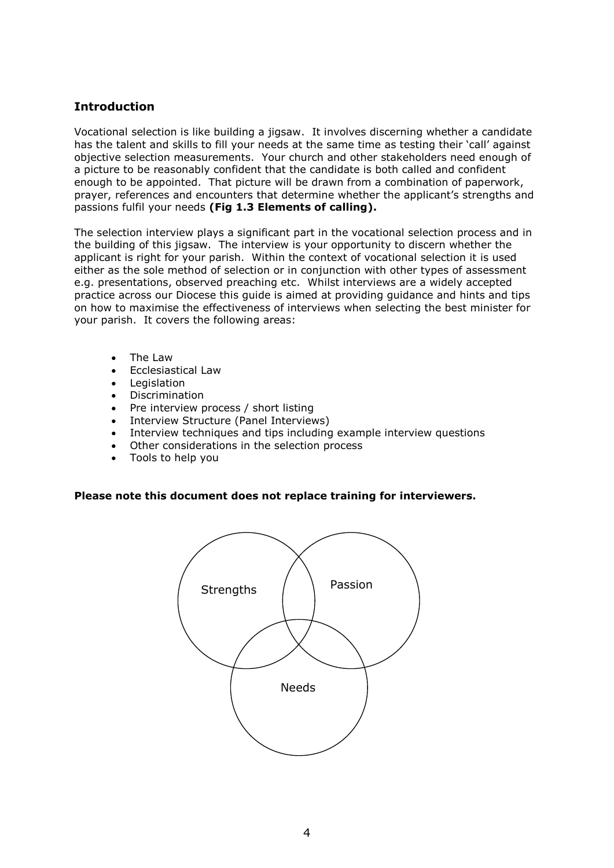# **Introduction**

Vocational selection is like building a jigsaw. It involves discerning whether a candidate has the talent and skills to fill your needs at the same time as testing their 'call' against objective selection measurements. Your church and other stakeholders need enough of a picture to be reasonably confident that the candidate is both called and confident enough to be appointed. That picture will be drawn from a combination of paperwork, prayer, references and encounters that determine whether the applicant's strengths and passions fulfil your needs **(Fig 1.3 Elements of calling).**

The selection interview plays a significant part in the vocational selection process and in the building of this jigsaw. The interview is your opportunity to discern whether the applicant is right for your parish. Within the context of vocational selection it is used either as the sole method of selection or in conjunction with other types of assessment e.g. presentations, observed preaching etc. Whilst interviews are a widely accepted practice across our Diocese this guide is aimed at providing guidance and hints and tips on how to maximise the effectiveness of interviews when selecting the best minister for your parish. It covers the following areas:

- The Law
- Ecclesiastical Law
- Legislation
- Discrimination
- Pre interview process / short listing
- Interview Structure (Panel Interviews)
- Interview techniques and tips including example interview questions
- Other considerations in the selection process
- Tools to help you

#### **Please note this document does not replace training for interviewers.**

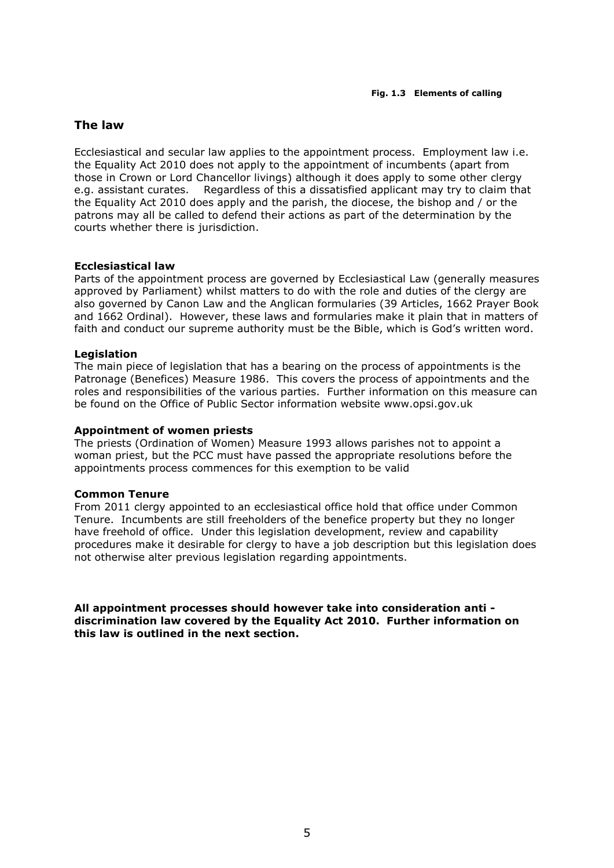#### **The law**

Ecclesiastical and secular law applies to the appointment process. Employment law i.e. the Equality Act 2010 does not apply to the appointment of incumbents (apart from those in Crown or Lord Chancellor livings) although it does apply to some other clergy e.g. assistant curates. Regardless of this a dissatisfied applicant may try to claim that the Equality Act 2010 does apply and the parish, the diocese, the bishop and / or the patrons may all be called to defend their actions as part of the determination by the courts whether there is jurisdiction.

#### **Ecclesiastical law**

Parts of the appointment process are governed by Ecclesiastical Law (generally measures approved by Parliament) whilst matters to do with the role and duties of the clergy are also governed by Canon Law and the Anglican formularies (39 Articles, 1662 Prayer Book and 1662 Ordinal). However, these laws and formularies make it plain that in matters of faith and conduct our supreme authority must be the Bible, which is God's written word.

#### **Legislation**

The main piece of legislation that has a bearing on the process of appointments is the Patronage (Benefices) Measure 1986. This covers the process of appointments and the roles and responsibilities of the various parties. Further information on this measure can be found on the Office of Public Sector information website www.opsi.gov.uk

#### **Appointment of women priests**

The priests (Ordination of Women) Measure 1993 allows parishes not to appoint a woman priest, but the PCC must have passed the appropriate resolutions before the appointments process commences for this exemption to be valid

#### **Common Tenure**

From 2011 clergy appointed to an ecclesiastical office hold that office under Common Tenure. Incumbents are still freeholders of the benefice property but they no longer have freehold of office. Under this legislation development, review and capability procedures make it desirable for clergy to have a job description but this legislation does not otherwise alter previous legislation regarding appointments.

**All appointment processes should however take into consideration anti discrimination law covered by the Equality Act 2010. Further information on this law is outlined in the next section.**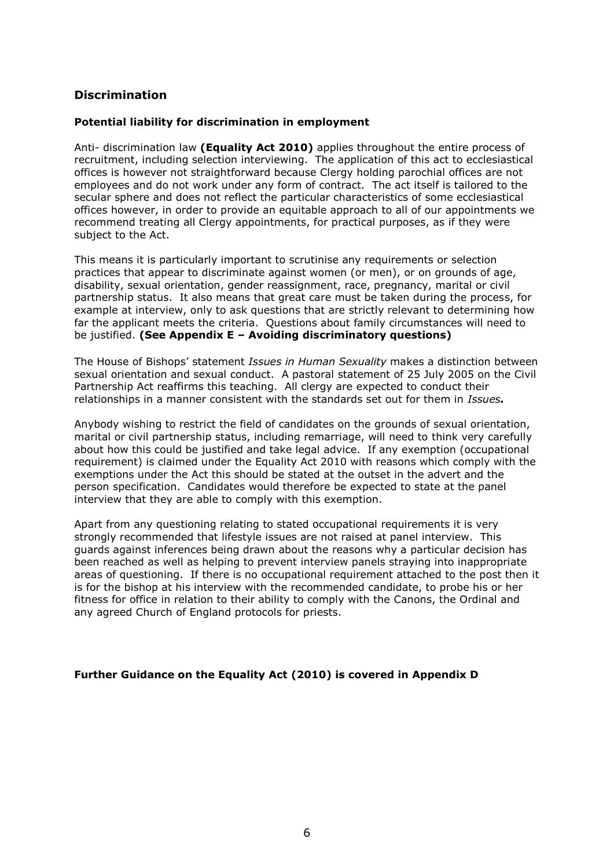# **Discrimination**

#### **Potential liability for discrimination in employment**

Anti- discrimination law **(Equality Act 2010)** applies throughout the entire process of recruitment, including selection interviewing. The application of this act to ecclesiastical offices is however not straightforward because Clergy holding parochial offices are not employees and do not work under any form of contract. The act itself is tailored to the secular sphere and does not reflect the particular characteristics of some ecclesiastical offices however, in order to provide an equitable approach to all of our appointments we recommend treating all Clergy appointments, for practical purposes, as if they were subject to the Act.

This means it is particularly important to scrutinise any requirements or selection practices that appear to discriminate against women (or men), or on grounds of age, disability, sexual orientation, gender reassignment, race, pregnancy, marital or civil partnership status. It also means that great care must be taken during the process, for example at interview, only to ask questions that are strictly relevant to determining how far the applicant meets the criteria. Questions about family circumstances will need to be justified. **(See Appendix E – Avoiding discriminatory questions)**

The House of Bishops' statement *Issues in Human Sexuality* makes a distinction between sexual orientation and sexual conduct. A pastoral statement of 25 July 2005 on the Civil Partnership Act reaffirms this teaching. All clergy are expected to conduct their relationships in a manner consistent with the standards set out for them in *Issues.*

Anybody wishing to restrict the field of candidates on the grounds of sexual orientation, marital or civil partnership status, including remarriage, will need to think very carefully about how this could be justified and take legal advice. If any exemption (occupational requirement) is claimed under the Equality Act 2010 with reasons which comply with the exemptions under the Act this should be stated at the outset in the advert and the person specification. Candidates would therefore be expected to state at the panel interview that they are able to comply with this exemption.

Apart from any questioning relating to stated occupational requirements it is very strongly recommended that lifestyle issues are not raised at panel interview. This guards against inferences being drawn about the reasons why a particular decision has been reached as well as helping to prevent interview panels straying into inappropriate areas of questioning. If there is no occupational requirement attached to the post then it is for the bishop at his interview with the recommended candidate, to probe his or her fitness for office in relation to their ability to comply with the Canons, the Ordinal and any agreed Church of England protocols for priests.

#### **Further Guidance on the Equality Act (2010) is covered in Appendix D**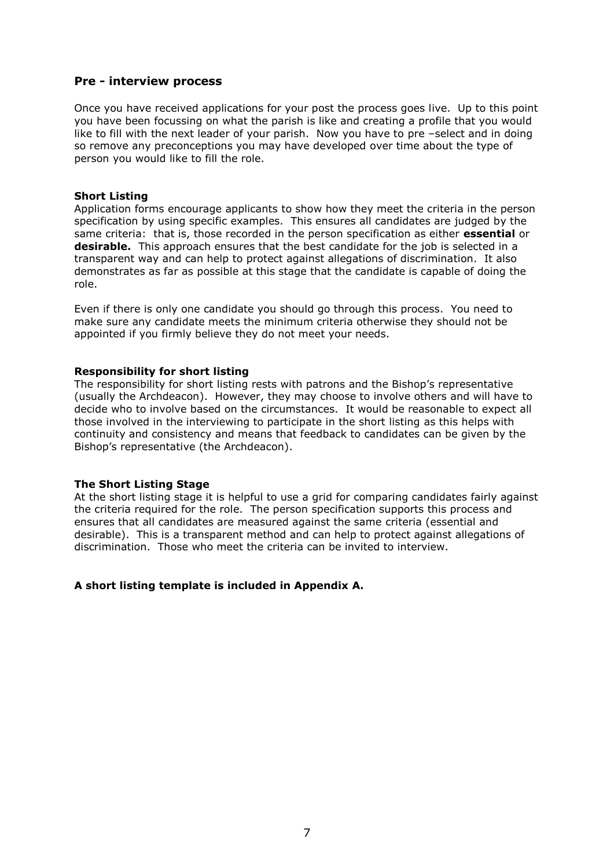#### **Pre - interview process**

Once you have received applications for your post the process goes live. Up to this point you have been focussing on what the parish is like and creating a profile that you would like to fill with the next leader of your parish. Now you have to pre –select and in doing so remove any preconceptions you may have developed over time about the type of person you would like to fill the role.

#### **Short Listing**

Application forms encourage applicants to show how they meet the criteria in the person specification by using specific examples. This ensures all candidates are judged by the same criteria: that is, those recorded in the person specification as either **essential** or **desirable.** This approach ensures that the best candidate for the job is selected in a transparent way and can help to protect against allegations of discrimination. It also demonstrates as far as possible at this stage that the candidate is capable of doing the role.

Even if there is only one candidate you should go through this process. You need to make sure any candidate meets the minimum criteria otherwise they should not be appointed if you firmly believe they do not meet your needs.

#### **Responsibility for short listing**

The responsibility for short listing rests with patrons and the Bishop's representative (usually the Archdeacon). However, they may choose to involve others and will have to decide who to involve based on the circumstances. It would be reasonable to expect all those involved in the interviewing to participate in the short listing as this helps with continuity and consistency and means that feedback to candidates can be given by the Bishop's representative (the Archdeacon).

#### **The Short Listing Stage**

At the short listing stage it is helpful to use a grid for comparing candidates fairly against the criteria required for the role. The person specification supports this process and ensures that all candidates are measured against the same criteria (essential and desirable). This is a transparent method and can help to protect against allegations of discrimination. Those who meet the criteria can be invited to interview.

#### **A short listing template is included in Appendix A.**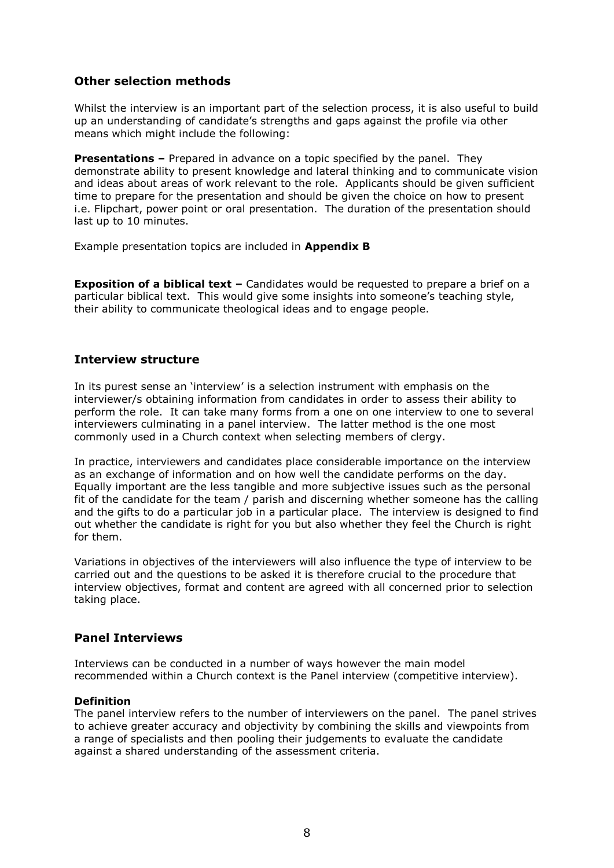# **Other selection methods**

Whilst the interview is an important part of the selection process, it is also useful to build up an understanding of candidate's strengths and gaps against the profile via other means which might include the following:

**Presentations –** Prepared in advance on a topic specified by the panel. They demonstrate ability to present knowledge and lateral thinking and to communicate vision and ideas about areas of work relevant to the role. Applicants should be given sufficient time to prepare for the presentation and should be given the choice on how to present i.e. Flipchart, power point or oral presentation. The duration of the presentation should last up to 10 minutes.

Example presentation topics are included in **Appendix B**

**Exposition of a biblical text –** Candidates would be requested to prepare a brief on a particular biblical text. This would give some insights into someone's teaching style, their ability to communicate theological ideas and to engage people.

# **Interview structure**

In its purest sense an 'interview' is a selection instrument with emphasis on the interviewer/s obtaining information from candidates in order to assess their ability to perform the role. It can take many forms from a one on one interview to one to several interviewers culminating in a panel interview. The latter method is the one most commonly used in a Church context when selecting members of clergy.

In practice, interviewers and candidates place considerable importance on the interview as an exchange of information and on how well the candidate performs on the day. Equally important are the less tangible and more subjective issues such as the personal fit of the candidate for the team / parish and discerning whether someone has the calling and the gifts to do a particular job in a particular place. The interview is designed to find out whether the candidate is right for you but also whether they feel the Church is right for them.

Variations in objectives of the interviewers will also influence the type of interview to be carried out and the questions to be asked it is therefore crucial to the procedure that interview objectives, format and content are agreed with all concerned prior to selection taking place.

#### **Panel Interviews**

Interviews can be conducted in a number of ways however the main model recommended within a Church context is the Panel interview (competitive interview).

#### **Definition**

The panel interview refers to the number of interviewers on the panel. The panel strives to achieve greater accuracy and objectivity by combining the skills and viewpoints from a range of specialists and then pooling their judgements to evaluate the candidate against a shared understanding of the assessment criteria.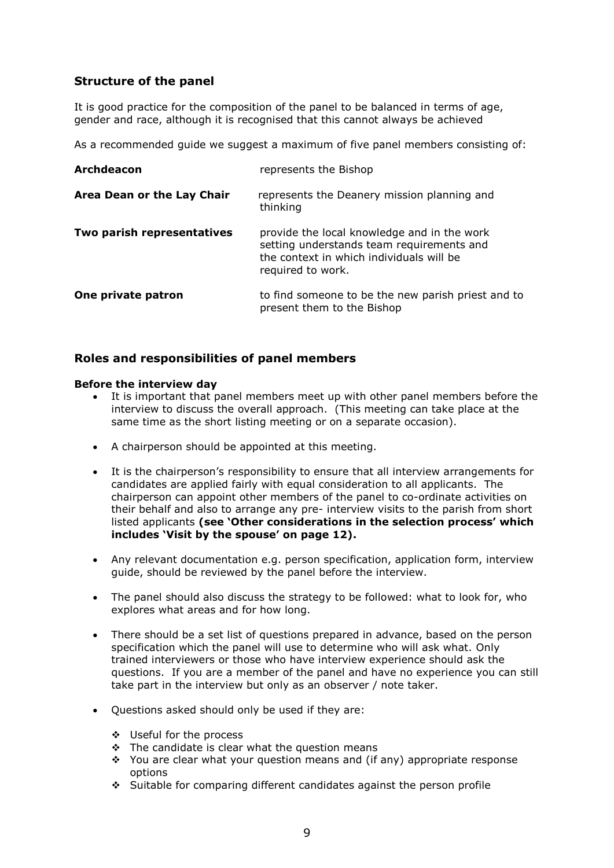# **Structure of the panel**

It is good practice for the composition of the panel to be balanced in terms of age, gender and race, although it is recognised that this cannot always be achieved

As a recommended guide we suggest a maximum of five panel members consisting of:

| <b>Archdeacon</b>          | represents the Bishop                                                                                                                                     |
|----------------------------|-----------------------------------------------------------------------------------------------------------------------------------------------------------|
| Area Dean or the Lay Chair | represents the Deanery mission planning and<br>thinking                                                                                                   |
| Two parish representatives | provide the local knowledge and in the work<br>setting understands team requirements and<br>the context in which individuals will be<br>required to work. |
| One private patron         | to find someone to be the new parish priest and to<br>present them to the Bishop                                                                          |

# **Roles and responsibilities of panel members**

#### **Before the interview day**

- It is important that panel members meet up with other panel members before the interview to discuss the overall approach. (This meeting can take place at the same time as the short listing meeting or on a separate occasion).
- A chairperson should be appointed at this meeting.
- It is the chairperson's responsibility to ensure that all interview arrangements for candidates are applied fairly with equal consideration to all applicants. The chairperson can appoint other members of the panel to co-ordinate activities on their behalf and also to arrange any pre- interview visits to the parish from short listed applicants **(see 'Other considerations in the selection process' which includes 'Visit by the spouse' on page 12).**
- Any relevant documentation e.g. person specification, application form, interview guide, should be reviewed by the panel before the interview.
- The panel should also discuss the strategy to be followed: what to look for, who explores what areas and for how long.
- There should be a set list of questions prepared in advance, based on the person specification which the panel will use to determine who will ask what. Only trained interviewers or those who have interview experience should ask the questions. If you are a member of the panel and have no experience you can still take part in the interview but only as an observer / note taker.
- Questions asked should only be used if they are:
	- Useful for the process
	- $\div$  The candidate is clear what the question means
	- $\div$  You are clear what your question means and (if any) appropriate response options
	- Suitable for comparing different candidates against the person profile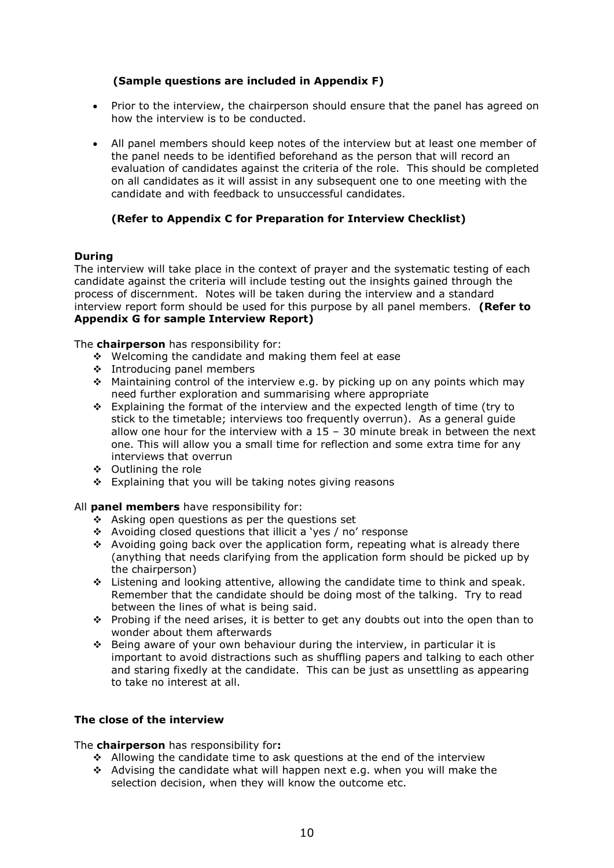# **(Sample questions are included in Appendix F)**

- Prior to the interview, the chairperson should ensure that the panel has agreed on how the interview is to be conducted.
- All panel members should keep notes of the interview but at least one member of the panel needs to be identified beforehand as the person that will record an evaluation of candidates against the criteria of the role. This should be completed on all candidates as it will assist in any subsequent one to one meeting with the candidate and with feedback to unsuccessful candidates.

#### **(Refer to Appendix C for Preparation for Interview Checklist)**

#### **During**

The interview will take place in the context of prayer and the systematic testing of each candidate against the criteria will include testing out the insights gained through the process of discernment. Notes will be taken during the interview and a standard interview report form should be used for this purpose by all panel members. **(Refer to Appendix G for sample Interview Report)**

The **chairperson** has responsibility for:

- Welcoming the candidate and making them feel at ease
- ❖ Introducing panel members
- \* Maintaining control of the interview e.g. by picking up on any points which may need further exploration and summarising where appropriate
- Explaining the format of the interview and the expected length of time (try to stick to the timetable; interviews too frequently overrun). As a general guide allow one hour for the interview with a  $15 - 30$  minute break in between the next one. This will allow you a small time for reflection and some extra time for any interviews that overrun
- Outlining the role
- $\div$  Explaining that you will be taking notes giving reasons

All **panel members** have responsibility for:

- Asking open questions as per the questions set
- Avoiding closed questions that illicit a 'yes / no' response
- $\div$  Avoiding going back over the application form, repeating what is already there (anything that needs clarifying from the application form should be picked up by the chairperson)
- Listening and looking attentive, allowing the candidate time to think and speak. Remember that the candidate should be doing most of the talking. Try to read between the lines of what is being said.
- $\cdot \cdot$  Probing if the need arises, it is better to get any doubts out into the open than to wonder about them afterwards
- $\div$  Being aware of your own behaviour during the interview, in particular it is important to avoid distractions such as shuffling papers and talking to each other and staring fixedly at the candidate. This can be just as unsettling as appearing to take no interest at all.

#### **The close of the interview**

The **chairperson** has responsibility for**:** 

- ◆ Allowing the candidate time to ask questions at the end of the interview
- Advising the candidate what will happen next e.g. when you will make the selection decision, when they will know the outcome etc.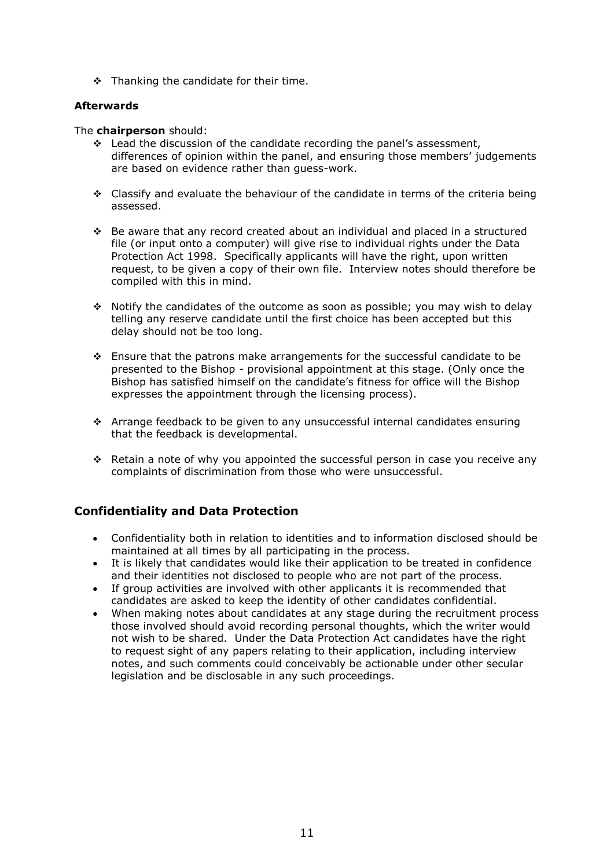$\div$  Thanking the candidate for their time.

#### **Afterwards**

#### The **chairperson** should:

- $\div$  Lead the discussion of the candidate recording the panel's assessment, differences of opinion within the panel, and ensuring those members' judgements are based on evidence rather than guess-work.
- $\div$  Classify and evaluate the behaviour of the candidate in terms of the criteria being assessed.
- Be aware that any record created about an individual and placed in a structured file (or input onto a computer) will give rise to individual rights under the Data Protection Act 1998. Specifically applicants will have the right, upon written request, to be given a copy of their own file. Interview notes should therefore be compiled with this in mind.
- Notify the candidates of the outcome as soon as possible; you may wish to delay telling any reserve candidate until the first choice has been accepted but this delay should not be too long.
- Ensure that the patrons make arrangements for the successful candidate to be presented to the Bishop - provisional appointment at this stage. (Only once the Bishop has satisfied himself on the candidate's fitness for office will the Bishop expresses the appointment through the licensing process).
- Arrange feedback to be given to any unsuccessful internal candidates ensuring that the feedback is developmental.
- \* Retain a note of why you appointed the successful person in case you receive any complaints of discrimination from those who were unsuccessful.

# **Confidentiality and Data Protection**

- Confidentiality both in relation to identities and to information disclosed should be maintained at all times by all participating in the process.
- It is likely that candidates would like their application to be treated in confidence and their identities not disclosed to people who are not part of the process.
- If group activities are involved with other applicants it is recommended that candidates are asked to keep the identity of other candidates confidential.
- When making notes about candidates at any stage during the recruitment process those involved should avoid recording personal thoughts, which the writer would not wish to be shared. Under the Data Protection Act candidates have the right to request sight of any papers relating to their application, including interview notes, and such comments could conceivably be actionable under other secular legislation and be disclosable in any such proceedings.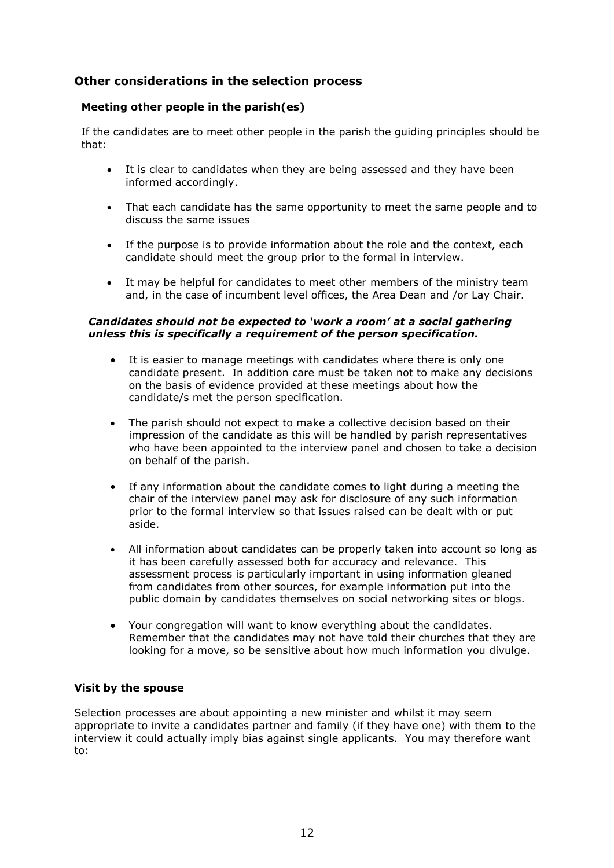# **Other considerations in the selection process**

#### **Meeting other people in the parish(es)**

If the candidates are to meet other people in the parish the guiding principles should be that:

- It is clear to candidates when they are being assessed and they have been informed accordingly.
- That each candidate has the same opportunity to meet the same people and to discuss the same issues
- If the purpose is to provide information about the role and the context, each candidate should meet the group prior to the formal in interview.
- It may be helpful for candidates to meet other members of the ministry team and, in the case of incumbent level offices, the Area Dean and /or Lay Chair.

#### *Candidates should not be expected to 'work a room' at a social gathering unless this is specifically a requirement of the person specification.*

- It is easier to manage meetings with candidates where there is only one candidate present. In addition care must be taken not to make any decisions on the basis of evidence provided at these meetings about how the candidate/s met the person specification.
- The parish should not expect to make a collective decision based on their impression of the candidate as this will be handled by parish representatives who have been appointed to the interview panel and chosen to take a decision on behalf of the parish.
- If any information about the candidate comes to light during a meeting the chair of the interview panel may ask for disclosure of any such information prior to the formal interview so that issues raised can be dealt with or put aside.
- All information about candidates can be properly taken into account so long as it has been carefully assessed both for accuracy and relevance. This assessment process is particularly important in using information gleaned from candidates from other sources, for example information put into the public domain by candidates themselves on social networking sites or blogs.
- Your congregation will want to know everything about the candidates. Remember that the candidates may not have told their churches that they are looking for a move, so be sensitive about how much information you divulge.

#### **Visit by the spouse**

Selection processes are about appointing a new minister and whilst it may seem appropriate to invite a candidates partner and family (if they have one) with them to the interview it could actually imply bias against single applicants. You may therefore want to: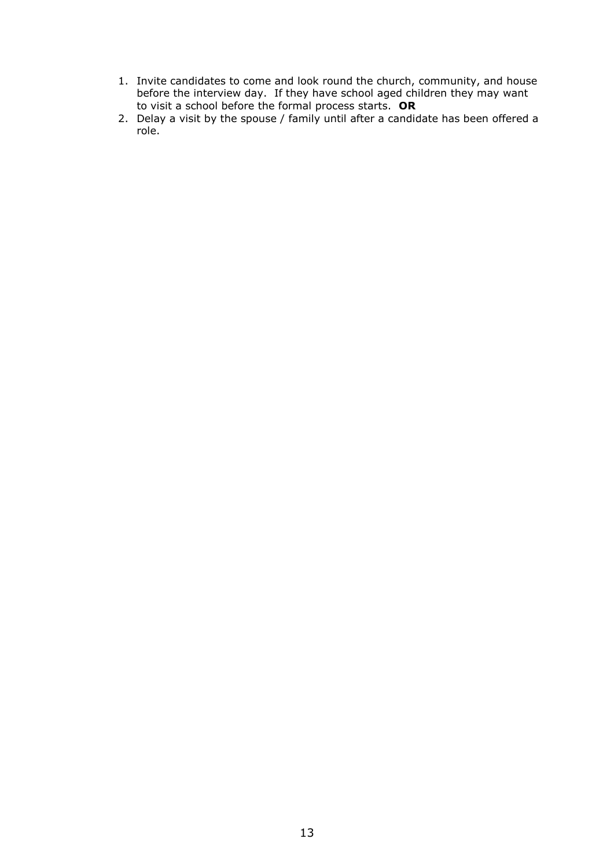- 1. Invite candidates to come and look round the church, community, and house before the interview day. If they have school aged children they may want to visit a school before the formal process starts. **OR**
- 2. Delay a visit by the spouse / family until after a candidate has been offered a role.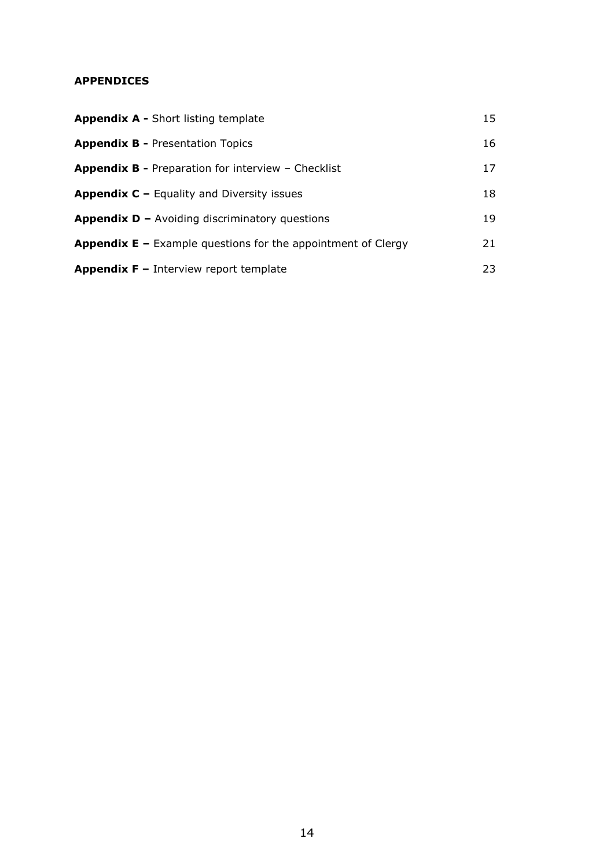# **APPENDICES**

| <b>Appendix A - Short listing template</b>                            | 15 |
|-----------------------------------------------------------------------|----|
| <b>Appendix B - Presentation Topics</b>                               | 16 |
| <b>Appendix B - Preparation for interview - Checklist</b>             | 17 |
| <b>Appendix C</b> $-$ Equality and Diversity issues                   | 18 |
| <b>Appendix D</b> – Avoiding discriminatory questions                 | 19 |
| <b>Appendix E</b> $-$ Example questions for the appointment of Clergy | 21 |
| <b>Appendix <math>F -</math></b> Interview report template            | 23 |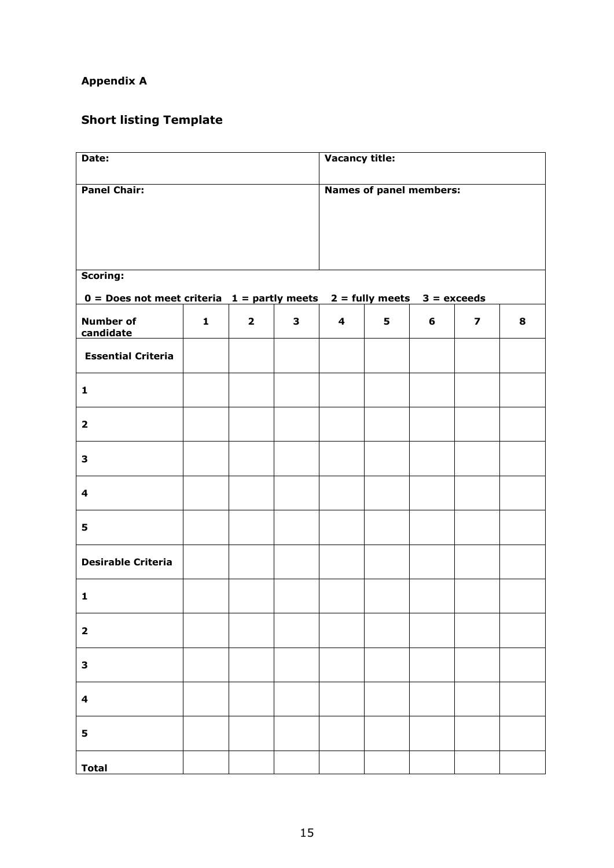# **Appendix A**

# **Short listing Template**

| Date:                                                                                 |              |                         |                                | <b>Vacancy title:</b> |   |   |                         |   |
|---------------------------------------------------------------------------------------|--------------|-------------------------|--------------------------------|-----------------------|---|---|-------------------------|---|
| <b>Panel Chair:</b>                                                                   |              |                         | <b>Names of panel members:</b> |                       |   |   |                         |   |
|                                                                                       |              |                         |                                |                       |   |   |                         |   |
|                                                                                       |              |                         |                                |                       |   |   |                         |   |
|                                                                                       |              |                         |                                |                       |   |   |                         |   |
| Scoring:<br>$0 = Does not meet criteria 1 = partly meets 2 = fully meets 3 = exceeds$ |              |                         |                                |                       |   |   |                         |   |
| <b>Number of</b>                                                                      | $\mathbf{1}$ | $\overline{\mathbf{2}}$ | $\mathbf{3}$                   | 4                     | 5 | 6 | $\overline{\mathbf{z}}$ | 8 |
| candidate                                                                             |              |                         |                                |                       |   |   |                         |   |
| <b>Essential Criteria</b>                                                             |              |                         |                                |                       |   |   |                         |   |
| $\mathbf{1}$                                                                          |              |                         |                                |                       |   |   |                         |   |
| $\overline{\mathbf{2}}$                                                               |              |                         |                                |                       |   |   |                         |   |
| 3                                                                                     |              |                         |                                |                       |   |   |                         |   |
| 4                                                                                     |              |                         |                                |                       |   |   |                         |   |
| 5                                                                                     |              |                         |                                |                       |   |   |                         |   |
| <b>Desirable Criteria</b>                                                             |              |                         |                                |                       |   |   |                         |   |
| $\mathbf{1}$                                                                          |              |                         |                                |                       |   |   |                         |   |
| $\mathbf{2}$                                                                          |              |                         |                                |                       |   |   |                         |   |
| 3                                                                                     |              |                         |                                |                       |   |   |                         |   |
| $\overline{\mathbf{4}}$                                                               |              |                         |                                |                       |   |   |                         |   |
| 5                                                                                     |              |                         |                                |                       |   |   |                         |   |
| <b>Total</b>                                                                          |              |                         |                                |                       |   |   |                         |   |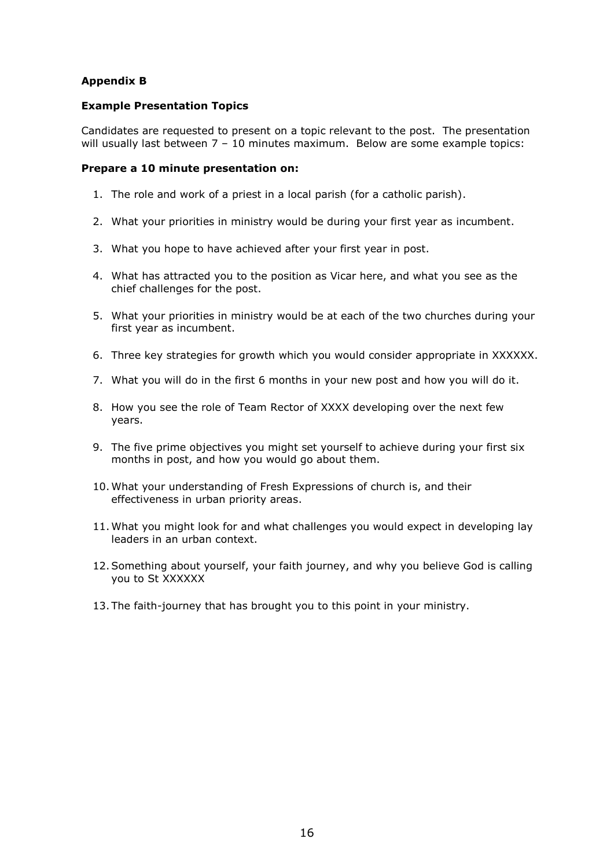# **Appendix B**

#### **Example Presentation Topics**

Candidates are requested to present on a topic relevant to the post. The presentation will usually last between 7 - 10 minutes maximum. Below are some example topics:

#### **Prepare a 10 minute presentation on:**

- 1. The role and work of a priest in a local parish (for a catholic parish).
- 2. What your priorities in ministry would be during your first year as incumbent.
- 3. What you hope to have achieved after your first year in post.
- 4. What has attracted you to the position as Vicar here, and what you see as the chief challenges for the post.
- 5. What your priorities in ministry would be at each of the two churches during your first year as incumbent.
- 6. Three key strategies for growth which you would consider appropriate in XXXXXX.
- 7. What you will do in the first 6 months in your new post and how you will do it.
- 8. How you see the role of Team Rector of XXXX developing over the next few years.
- 9. The five prime objectives you might set yourself to achieve during your first six months in post, and how you would go about them.
- 10. What your understanding of Fresh Expressions of church is, and their effectiveness in urban priority areas.
- 11. What you might look for and what challenges you would expect in developing lay leaders in an urban context.
- 12.Something about yourself, your faith journey, and why you believe God is calling you to St XXXXXX
- 13. The faith-journey that has brought you to this point in your ministry.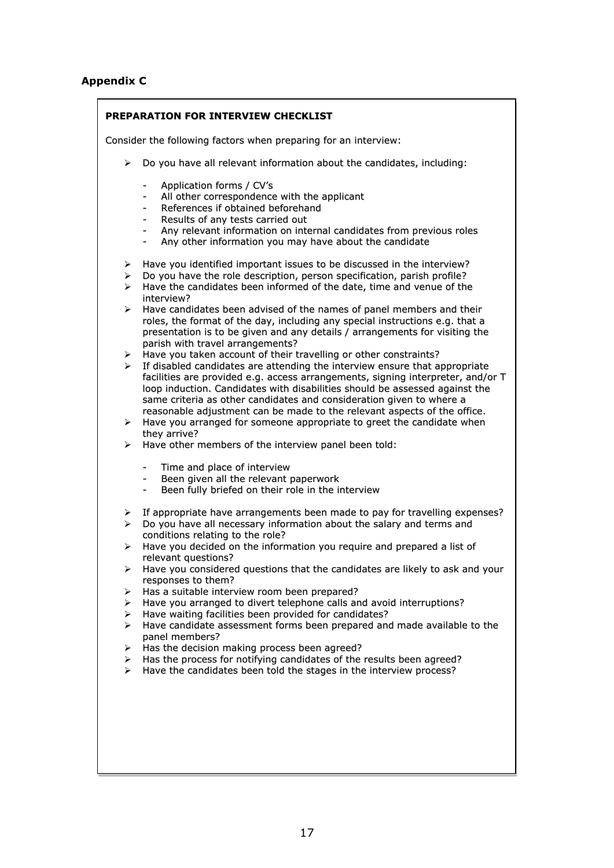# **Appendix C**

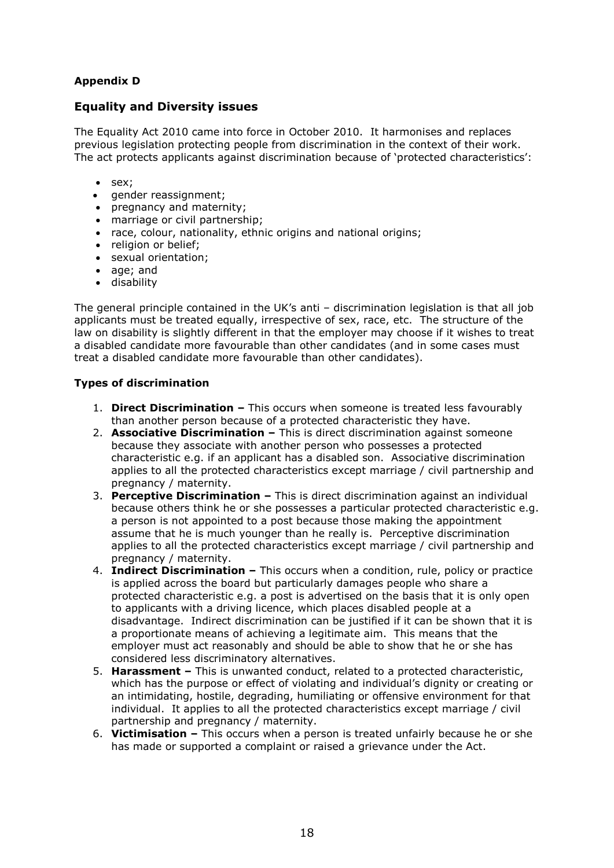# **Appendix D**

# **Equality and Diversity issues**

The Equality Act 2010 came into force in October 2010. It harmonises and replaces previous legislation protecting people from discrimination in the context of their work. The act protects applicants against discrimination because of 'protected characteristics':

- sex;
- gender reassignment;
- pregnancy and maternity;
- marriage or civil partnership;
- race, colour, nationality, ethnic origins and national origins;
- religion or belief:
- sexual orientation;
- age; and
- disability

The general principle contained in the UK's anti – discrimination legislation is that all job applicants must be treated equally, irrespective of sex, race, etc. The structure of the law on disability is slightly different in that the employer may choose if it wishes to treat a disabled candidate more favourable than other candidates (and in some cases must treat a disabled candidate more favourable than other candidates).

#### **Types of discrimination**

- 1. **Direct Discrimination –** This occurs when someone is treated less favourably than another person because of a protected characteristic they have.
- 2. **Associative Discrimination –** This is direct discrimination against someone because they associate with another person who possesses a protected characteristic e.g. if an applicant has a disabled son. Associative discrimination applies to all the protected characteristics except marriage / civil partnership and pregnancy / maternity.
- 3. **Perceptive Discrimination –** This is direct discrimination against an individual because others think he or she possesses a particular protected characteristic e.g. a person is not appointed to a post because those making the appointment assume that he is much younger than he really is. Perceptive discrimination applies to all the protected characteristics except marriage / civil partnership and pregnancy / maternity.
- 4. **Indirect Discrimination –** This occurs when a condition, rule, policy or practice is applied across the board but particularly damages people who share a protected characteristic e.g. a post is advertised on the basis that it is only open to applicants with a driving licence, which places disabled people at a disadvantage. Indirect discrimination can be justified if it can be shown that it is a proportionate means of achieving a legitimate aim. This means that the employer must act reasonably and should be able to show that he or she has considered less discriminatory alternatives.
- 5. **Harassment –** This is unwanted conduct, related to a protected characteristic, which has the purpose or effect of violating and individual's dignity or creating or an intimidating, hostile, degrading, humiliating or offensive environment for that individual. It applies to all the protected characteristics except marriage / civil partnership and pregnancy / maternity.
- 6. **Victimisation –** This occurs when a person is treated unfairly because he or she has made or supported a complaint or raised a grievance under the Act.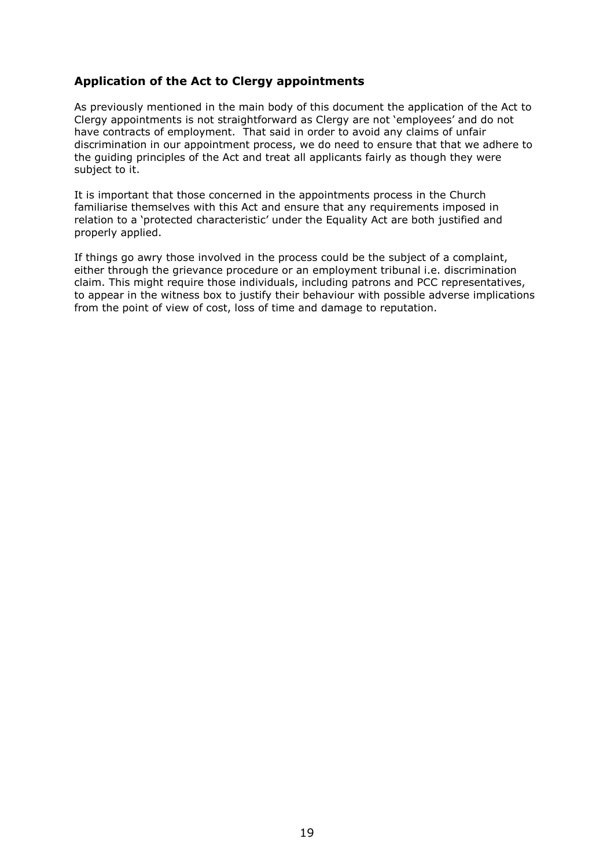# **Application of the Act to Clergy appointments**

As previously mentioned in the main body of this document the application of the Act to Clergy appointments is not straightforward as Clergy are not 'employees' and do not have contracts of employment. That said in order to avoid any claims of unfair discrimination in our appointment process, we do need to ensure that that we adhere to the guiding principles of the Act and treat all applicants fairly as though they were subject to it.

It is important that those concerned in the appointments process in the Church familiarise themselves with this Act and ensure that any requirements imposed in relation to a 'protected characteristic' under the Equality Act are both justified and properly applied.

If things go awry those involved in the process could be the subject of a complaint, either through the grievance procedure or an employment tribunal i.e. discrimination claim. This might require those individuals, including patrons and PCC representatives, to appear in the witness box to justify their behaviour with possible adverse implications from the point of view of cost, loss of time and damage to reputation.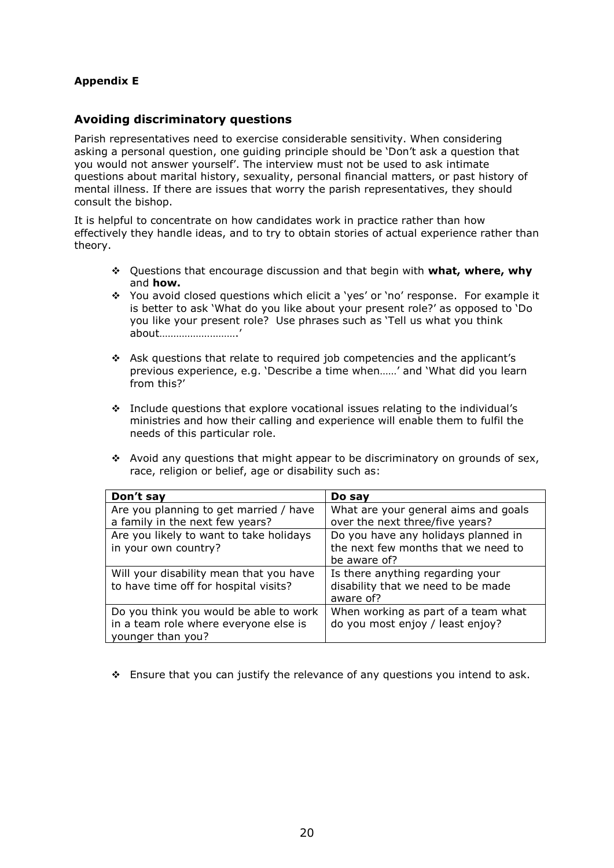# **Appendix E**

### **Avoiding discriminatory questions**

Parish representatives need to exercise considerable sensitivity. When considering asking a personal question, one guiding principle should be 'Don't ask a question that you would not answer yourself'. The interview must not be used to ask intimate questions about marital history, sexuality, personal financial matters, or past history of mental illness. If there are issues that worry the parish representatives, they should consult the bishop.

It is helpful to concentrate on how candidates work in practice rather than how effectively they handle ideas, and to try to obtain stories of actual experience rather than theory.

- Questions that encourage discussion and that begin with **what, where, why** and **how.**
- \* You avoid closed questions which elicit a 'yes' or 'no' response. For example it is better to ask 'What do you like about your present role?' as opposed to 'Do you like your present role? Use phrases such as 'Tell us what you think about……………………….'
- Ask questions that relate to required job competencies and the applicant's previous experience, e.g. 'Describe a time when……' and 'What did you learn from this?'
- $\div$  Include questions that explore vocational issues relating to the individual's ministries and how their calling and experience will enable them to fulfil the needs of this particular role.
- $\cdot$  Avoid any questions that might appear to be discriminatory on grounds of sex, race, religion or belief, age or disability such as:

| Don't say                               | Do say                               |
|-----------------------------------------|--------------------------------------|
| Are you planning to get married / have  | What are your general aims and goals |
| a family in the next few years?         | over the next three/five years?      |
| Are you likely to want to take holidays | Do you have any holidays planned in  |
| in your own country?                    | the next few months that we need to  |
|                                         | be aware of?                         |
| Will your disability mean that you have | Is there anything regarding your     |
| to have time off for hospital visits?   | disability that we need to be made   |
|                                         | aware of?                            |
| Do you think you would be able to work  | When working as part of a team what  |
| in a team role where everyone else is   | do you most enjoy / least enjoy?     |
| younger than you?                       |                                      |

 $\div$  Ensure that you can justify the relevance of any questions you intend to ask.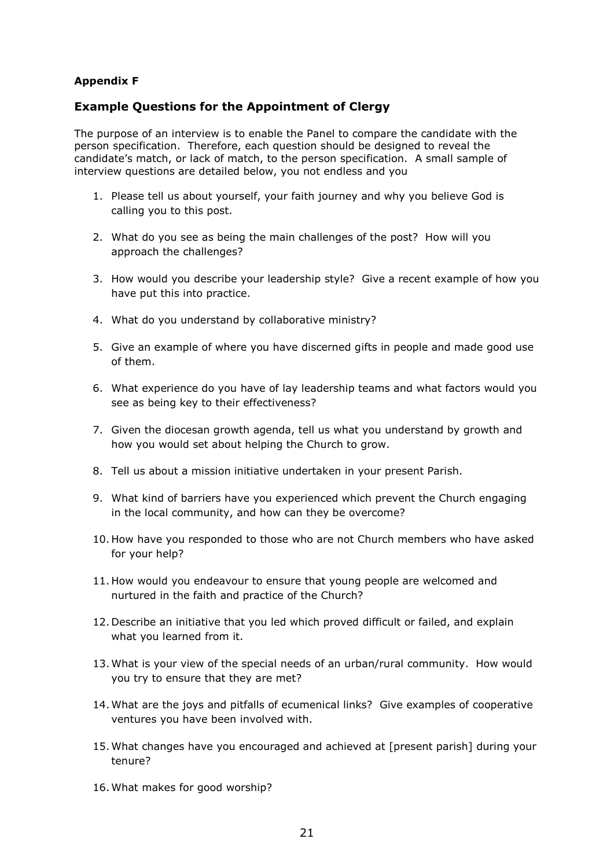# **Appendix F**

# **Example Questions for the Appointment of Clergy**

The purpose of an interview is to enable the Panel to compare the candidate with the person specification. Therefore, each question should be designed to reveal the candidate's match, or lack of match, to the person specification. A small sample of interview questions are detailed below, you not endless and you

- 1. Please tell us about yourself, your faith journey and why you believe God is calling you to this post.
- 2. What do you see as being the main challenges of the post? How will you approach the challenges?
- 3. How would you describe your leadership style? Give a recent example of how you have put this into practice.
- 4. What do you understand by collaborative ministry?
- 5. Give an example of where you have discerned gifts in people and made good use of them.
- 6. What experience do you have of lay leadership teams and what factors would you see as being key to their effectiveness?
- 7. Given the diocesan growth agenda, tell us what you understand by growth and how you would set about helping the Church to grow.
- 8. Tell us about a mission initiative undertaken in your present Parish.
- 9. What kind of barriers have you experienced which prevent the Church engaging in the local community, and how can they be overcome?
- 10. How have you responded to those who are not Church members who have asked for your help?
- 11. How would you endeavour to ensure that young people are welcomed and nurtured in the faith and practice of the Church?
- 12. Describe an initiative that you led which proved difficult or failed, and explain what you learned from it.
- 13. What is your view of the special needs of an urban/rural community. How would you try to ensure that they are met?
- 14. What are the joys and pitfalls of ecumenical links? Give examples of cooperative ventures you have been involved with.
- 15. What changes have you encouraged and achieved at [present parish] during your tenure?
- 16. What makes for good worship?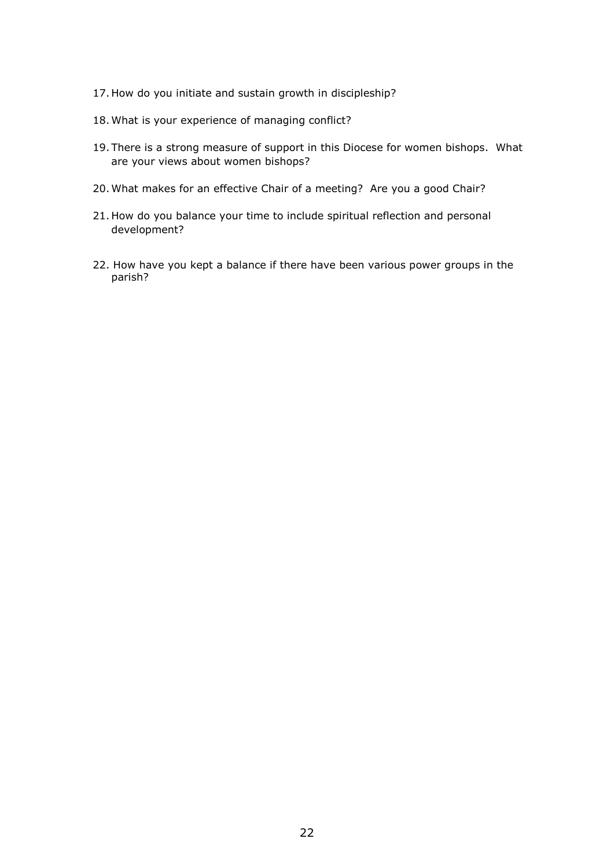- 17. How do you initiate and sustain growth in discipleship?
- 18. What is your experience of managing conflict?
- 19. There is a strong measure of support in this Diocese for women bishops. What are your views about women bishops?
- 20. What makes for an effective Chair of a meeting? Are you a good Chair?
- 21. How do you balance your time to include spiritual reflection and personal development?
- 22. How have you kept a balance if there have been various power groups in the parish?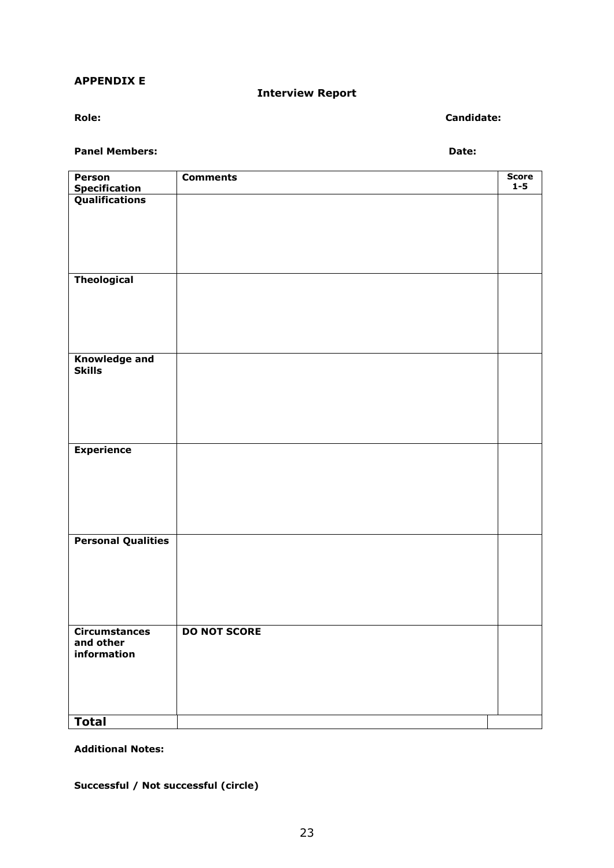#### **APPENDIX E**

**Interview Report**

**Role: Candidate:**

**Panel Members: Date:**

| Person                          | <b>Comments</b>     | <b>Score</b> |
|---------------------------------|---------------------|--------------|
| Specification<br>Qualifications |                     | $1 - 5$      |
|                                 |                     |              |
|                                 |                     |              |
|                                 |                     |              |
|                                 |                     |              |
|                                 |                     |              |
|                                 |                     |              |
| <b>Theological</b>              |                     |              |
|                                 |                     |              |
|                                 |                     |              |
|                                 |                     |              |
|                                 |                     |              |
|                                 |                     |              |
|                                 |                     |              |
| <b>Knowledge and</b>            |                     |              |
| <b>Skills</b>                   |                     |              |
|                                 |                     |              |
|                                 |                     |              |
|                                 |                     |              |
|                                 |                     |              |
|                                 |                     |              |
| <b>Experience</b>               |                     |              |
|                                 |                     |              |
|                                 |                     |              |
|                                 |                     |              |
|                                 |                     |              |
|                                 |                     |              |
|                                 |                     |              |
| <b>Personal Qualities</b>       |                     |              |
|                                 |                     |              |
|                                 |                     |              |
|                                 |                     |              |
|                                 |                     |              |
|                                 |                     |              |
|                                 |                     |              |
| <b>Circumstances</b>            | <b>DO NOT SCORE</b> |              |
| and other                       |                     |              |
| information                     |                     |              |
|                                 |                     |              |
|                                 |                     |              |
|                                 |                     |              |
|                                 |                     |              |
|                                 |                     |              |
| <b>Total</b>                    |                     |              |

**Additional Notes:**

**Successful / Not successful (circle)**